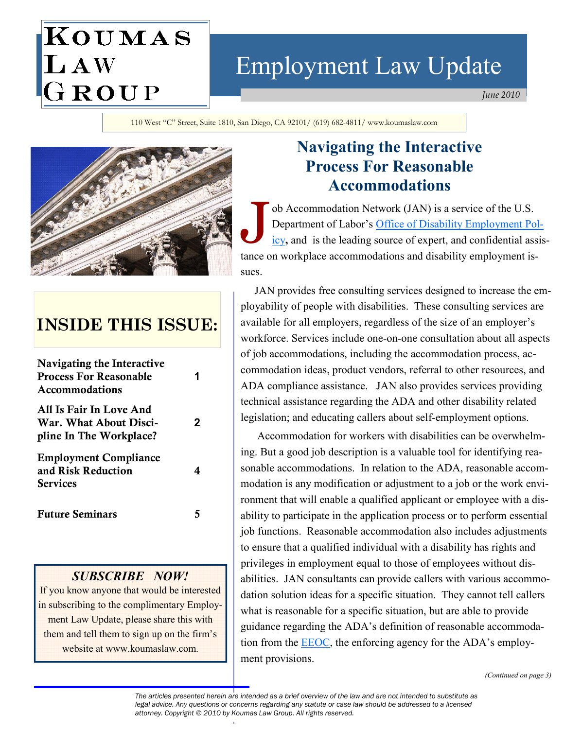# KOUMAS LAW<br>GROUP

# Employment Law Update

June 2010

110 West "C" Street, Suite 1810, San Diego, CA 92101/ (619) 682-4811/ www.koumaslaw.com



# INSIDE THIS ISSUE:

| <b>Navigating the Interactive</b><br><b>Process For Reasonable</b><br><b>Accommodations</b> | 1            |
|---------------------------------------------------------------------------------------------|--------------|
| All Is Fair In Love And<br>War. What About Disci-<br>pline In The Workplace?                | $\mathbf{2}$ |
| <b>Employment Compliance</b><br>and Risk Reduction<br><b>Services</b>                       | 4            |
| <b>Future Seminars</b>                                                                      | 5            |

#### SUBSCRIBE NOW!

If you know anyone that would be interested in subscribing to the complimentary Employment Law Update, please share this with them and tell them to sign up on the firm's website at www.koumaslaw.com.

# Navigating the Interactive Process For Reasonable Accommodations

Superior Accommodation Network (JAN) is a service of the U.S.<br>Department of Labor's <u>Office of Disability Employment Po</u><br>icv, and is the leading source of expert, and confidential ass Department of Labor's Office of Disability Employment Policy, and is the leading source of expert, and confidential assistance on workplace accommodations and disability employment issues.

 JAN provides free consulting services designed to increase the employability of people with disabilities. These consulting services are available for all employers, regardless of the size of an employer's workforce. Services include one-on-one consultation about all aspects of job accommodations, including the accommodation process, accommodation ideas, product vendors, referral to other resources, and ADA compliance assistance. JAN also provides services providing technical assistance regarding the ADA and other disability related legislation; and educating callers about self-employment options.

 Accommodation for workers with disabilities can be overwhelming. But a good job description is a valuable tool for identifying reasonable accommodations. In relation to the ADA, reasonable accommodation is any modification or adjustment to a job or the work environment that will enable a qualified applicant or employee with a disability to participate in the application process or to perform essential job functions. Reasonable accommodation also includes adjustments to ensure that a qualified individual with a disability has rights and privileges in employment equal to those of employees without disabilities. JAN consultants can provide callers with various accommodation solution ideas for a specific situation. They cannot tell callers what is reasonable for a specific situation, but are able to provide guidance regarding the ADA's definition of reasonable accommodation from the **EEOC**, the enforcing agency for the ADA's employment provisions.

(Continued on page 3)

The articles presented herein are intended as a brief overview of the law and are not intended to substitute as legal advice. Any questions or concerns regarding any statute or case law should be addressed to a licensed attorney. Copyright © 2010 by Koumas Law Group. All rights reserved.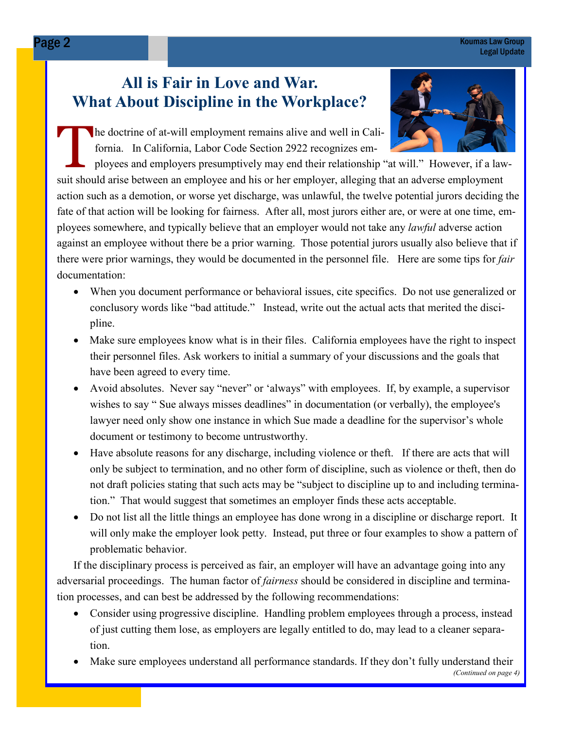#### Page 2 Koumas Law Group Legal Update

# All is Fair in Love and War. What About Discipline in the Workplace?



The doctrine of at-will employment remains alive and well in California. In California, Labor Code Section 2922 recognizes em-

ployees and employers presumptively may end their relationship "at will." However, if a lawsuit should arise between an employee and his or her employer, alleging that an adverse employment action such as a demotion, or worse yet discharge, was unlawful, the twelve potential jurors deciding the fate of that action will be looking for fairness. After all, most jurors either are, or were at one time, employees somewhere, and typically believe that an employer would not take any lawful adverse action against an employee without there be a prior warning. Those potential jurors usually also believe that if there were prior warnings, they would be documented in the personnel file. Here are some tips for *fair* documentation:

- When you document performance or behavioral issues, cite specifics. Do not use generalized or conclusory words like "bad attitude." Instead, write out the actual acts that merited the disci pline.
- Make sure employees know what is in their files. California employees have the right to inspect their personnel files. Ask workers to initial a summary of your discussions and the goals that have been agreed to every time.
- Avoid absolutes. Never say "never" or 'always" with employees. If, by example, a supervisor wishes to say " Sue always misses deadlines" in documentation (or verbally), the employee's lawyer need only show one instance in which Sue made a deadline for the supervisor's whole document or testimony to become untrustworthy.
- Have absolute reasons for any discharge, including violence or theft. If there are acts that will only be subject to termination, and no other form of discipline, such as violence or theft, then do not draft policies stating that such acts may be "subject to discipline up to and including termina tion." That would suggest that sometimes an employer finds these acts acceptable.
- Do not list all the little things an employee has done wrong in a discipline or discharge report. It will only make the employer look petty. Instead, put three or four examples to show a pattern of problematic behavior.

 If the disciplinary process is perceived as fair, an employer will have an advantage going into any adversarial proceedings. The human factor of *fairness* should be considered in discipline and termination processes, and can best be addressed by the following recommendations:

- Consider using progressive discipline. Handling problem employees through a process, instead of just cutting them lose, as employers are legally entitled to do, may lead to a cleaner separa tion.
- Make sure employees understand all performance standards. If they don't fully understand their (Continued on page 4)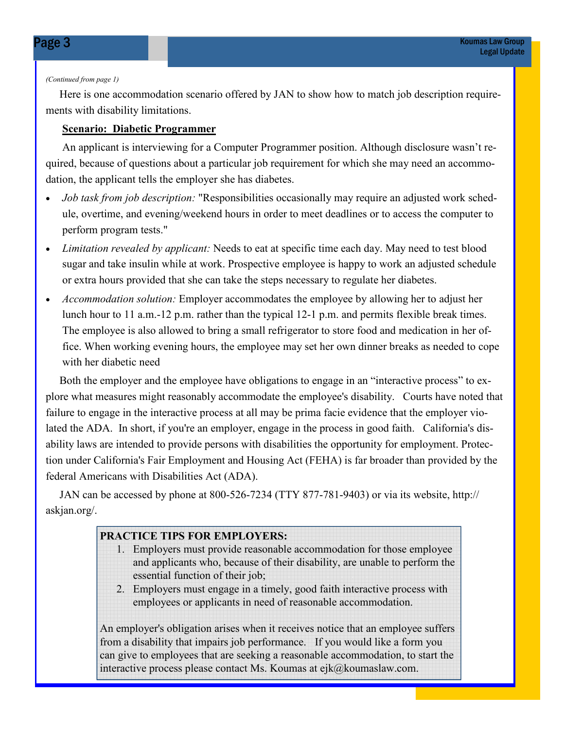#### (Continued from page 1)

 Here is one accommodation scenario offered by JAN to show how to match job description requirements with disability limitations.

#### Scenario: Diabetic Programmer

 An applicant is interviewing for a Computer Programmer position. Although disclosure wasn't required, because of questions about a particular job requirement for which she may need an accommodation, the applicant tells the employer she has diabetes.

- Job task from job description: "Responsibilities occasionally may require an adjusted work schedule, overtime, and evening/weekend hours in order to meet deadlines or to access the computer to perform program tests."
- Limitation revealed by applicant: Needs to eat at specific time each day. May need to test blood sugar and take insulin while at work. Prospective employee is happy to work an adjusted schedule or extra hours provided that she can take the steps necessary to regulate her diabetes.
- Accommodation solution: Employer accommodates the employee by allowing her to adjust her lunch hour to 11 a.m.-12 p.m. rather than the typical 12-1 p.m. and permits flexible break times. The employee is also allowed to bring a small refrigerator to store food and medication in her office. When working evening hours, the employee may set her own dinner breaks as needed to cope with her diabetic need

Both the employer and the employee have obligations to engage in an "interactive process" to explore what measures might reasonably accommodate the employee's disability. Courts have noted that failure to engage in the interactive process at all may be prima facie evidence that the employer violated the ADA. In short, if you're an employer, engage in the process in good faith. California's disability laws are intended to provide persons with disabilities the opportunity for employment. Protection under California's Fair Employment and Housing Act (FEHA) is far broader than provided by the federal Americans with Disabilities Act (ADA).

 JAN can be accessed by phone at 800-526-7234 (TTY 877-781-9403) or via its website, http:// askjan.org/.

#### PRACTICE TIPS FOR EMPLOYERS:

- 1. Employers must provide reasonable accommodation for those employee and applicants who, because of their disability, are unable to perform the essential function of their job;
- 2. Employers must engage in a timely, good faith interactive process with employees or applicants in need of reasonable accommodation.

An employer's obligation arises when it receives notice that an employee suffers from a disability that impairs job performance. If you would like a form you can give to employees that are seeking a reasonable accommodation, to start the interactive process please contact Ms. Koumas at ejk@koumaslaw.com.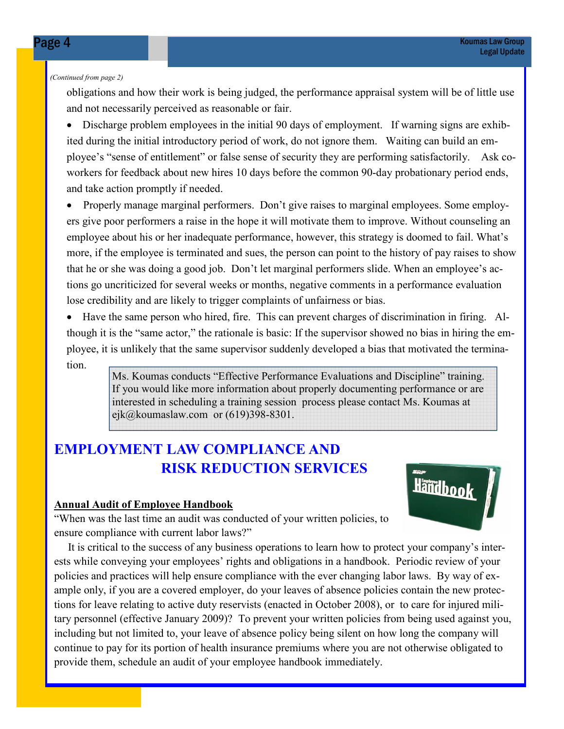#### (Continued from page 2)

obligations and how their work is being judged, the performance appraisal system will be of little use and not necessarily perceived as reasonable or fair.

• Discharge problem employees in the initial 90 days of employment. If warning signs are exhibited during the initial introductory period of work, do not ignore them. Waiting can build an employee's "sense of entitlement" or false sense of security they are performing satisfactorily. Ask coworkers for feedback about new hires 10 days before the common 90-day probationary period ends, and take action promptly if needed.

• Properly manage marginal performers. Don't give raises to marginal employees. Some employers give poor performers a raise in the hope it will motivate them to improve. Without counseling an employee about his or her inadequate performance, however, this strategy is doomed to fail. What's more, if the employee is terminated and sues, the person can point to the history of pay raises to show that he or she was doing a good job. Don't let marginal performers slide. When an employee's actions go uncriticized for several weeks or months, negative comments in a performance evaluation lose credibility and are likely to trigger complaints of unfairness or bias.

• Have the same person who hired, fire. This can prevent charges of discrimination in firing. Although it is the "same actor," the rationale is basic: If the supervisor showed no bias in hiring the employee, it is unlikely that the same supervisor suddenly developed a bias that motivated the termination.

> Ms. Koumas conducts "Effective Performance Evaluations and Discipline" training. If you would like more information about properly documenting performance or are interested in scheduling a training session process please contact Ms. Koumas at ejk@koumaslaw.com or (619)398-8301.

# EMPLOYMENT LAW COMPLIANCE AND RISK REDUCTION SERVICES

#### Annual Audit of Employee Handbook



"When was the last time an audit was conducted of your written policies, to ensure compliance with current labor laws?"

 It is critical to the success of any business operations to learn how to protect your company's interests while conveying your employees' rights and obligations in a handbook. Periodic review of your policies and practices will help ensure compliance with the ever changing labor laws. By way of example only, if you are a covered employer, do your leaves of absence policies contain the new protections for leave relating to active duty reservists (enacted in October 2008), or to care for injured military personnel (effective January 2009)? To prevent your written policies from being used against you, including but not limited to, your leave of absence policy being silent on how long the company will continue to pay for its portion of health insurance premiums where you are not otherwise obligated to provide them, schedule an audit of your employee handbook immediately.